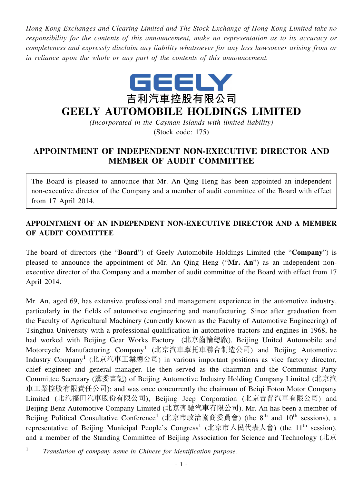*Hong Kong Exchanges and Clearing Limited and The Stock Exchange of Hong Kong Limited take no responsibility for the contents of this announcement, make no representation as to its accuracy or completeness and expressly disclaim any liability whatsoever for any loss howsoever arising from or in reliance upon the whole or any part of the contents of this announcement.*



## **GEELY AUTOMOBILE HOLDINGS LIMITED**

*(Incorporated in the Cayman Islands with limited liability)* (Stock code: 175)

## **APPOINTMENT OF INDEPENDENT NON-EXECUTIVE DIRECTOR AND MEMBER OF AUDIT COMMITTEE**

The Board is pleased to announce that Mr. An Qing Heng has been appointed an independent non-executive director of the Company and a member of audit committee of the Board with effect from 17 April 2014.

## **APPOINTMENT OF AN INDEPENDENT NON-EXECUTIVE DIRECTOR AND A MEMBER OF AUDIT COMMITTEE**

The board of directors (the "**Board**") of Geely Automobile Holdings Limited (the "**Company**") is pleased to announce the appointment of Mr. An Qing Heng ("**Mr. An**") as an independent nonexecutive director of the Company and a member of audit committee of the Board with effect from 17 April 2014.

Mr. An, aged 69, has extensive professional and management experience in the automotive industry, particularly in the fields of automotive engineering and manufacturing. Since after graduation from the Faculty of Agricultural Machinery (currently known as the Faculty of Automotive Engineering) of Tsinghua University with a professional qualification in automotive tractors and engines in 1968, he had worked with Beijing Gear Works Factory<sup>1</sup> (北京齒輪總廠), Beijing United Automobile and Motorcycle Manufacturing Company<sup>1</sup> (北京汽車摩托車聯合制造公司) and Beijing Automotive Industry Company<sup>1</sup> (北京汽車工業總公司) in various important positions as vice factory director, chief engineer and general manager. He then served as the chairman and the Communist Party Committee Secretary (黨委書記) of Beijing Automotive Industry Holding Company Limited (北京汽 車工業控股有限責任公司); and was once concurrently the chairman of Beiqi Foton Motor Company Limited (北汽福田汽車股份有限公司), Beijing Jeep Corporation (北京吉普汽車有限公司) and Beijing Benz Automotive Company Limited (北京奔馳汽車有限公司). Mr. An has been a member of Beijing Political Consultative Conference<sup>1</sup> (北京市政治協商委員會) (the 8<sup>th</sup> and 10<sup>th</sup> sessions), a representative of Beijing Municipal People's Congress<sup>1</sup> (北京市人民代表大會) (the 11<sup>th</sup> session), and a member of the Standing Committee of Beijing Association for Science and Technology (北京

<sup>1</sup> *Translation of company name in Chinese for identification purpose.*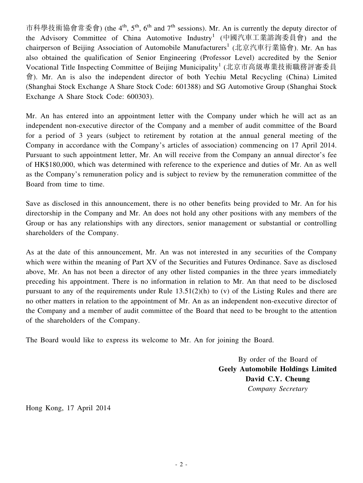市科學技術協會常委會) (the 4<sup>th</sup>, 5<sup>th</sup>, 6<sup>th</sup> and 7<sup>th</sup> sessions). Mr. An is currently the deputy director of the Advisory Committee of China Automotive Industry<sup>1</sup> (中國汽車工業諮詢委員會) and the chairperson of Beijing Association of Automobile Manufacturers<sup>1</sup> (北京汽車行業協會). Mr. An has also obtained the qualification of Senior Engineering (Professor Level) accredited by the Senior Vocational Title Inspecting Committee of Beijing Municipality<sup>1</sup> (北京市高級專業技術職務評審委員 會). Mr. An is also the independent director of both Yechiu Metal Recycling (China) Limited (Shanghai Stock Exchange A Share Stock Code: 601388) and SG Automotive Group (Shanghai Stock Exchange A Share Stock Code: 600303).

Mr. An has entered into an appointment letter with the Company under which he will act as an independent non-executive director of the Company and a member of audit committee of the Board for a period of 3 years (subject to retirement by rotation at the annual general meeting of the Company in accordance with the Company's articles of association) commencing on 17 April 2014. Pursuant to such appointment letter, Mr. An will receive from the Company an annual director's fee of HK\$180,000, which was determined with reference to the experience and duties of Mr. An as well as the Company's remuneration policy and is subject to review by the remuneration committee of the Board from time to time.

Save as disclosed in this announcement, there is no other benefits being provided to Mr. An for his directorship in the Company and Mr. An does not hold any other positions with any members of the Group or has any relationships with any directors, senior management or substantial or controlling shareholders of the Company.

As at the date of this announcement, Mr. An was not interested in any securities of the Company which were within the meaning of Part XV of the Securities and Futures Ordinance. Save as disclosed above, Mr. An has not been a director of any other listed companies in the three years immediately preceding his appointment. There is no information in relation to Mr. An that need to be disclosed pursuant to any of the requirements under Rule 13.51(2)(h) to (v) of the Listing Rules and there are no other matters in relation to the appointment of Mr. An as an independent non-executive director of the Company and a member of audit committee of the Board that need to be brought to the attention of the shareholders of the Company.

The Board would like to express its welcome to Mr. An for joining the Board.

By order of the Board of **Geely Automobile Holdings Limited David C.Y. Cheung** *Company Secretary*

Hong Kong, 17 April 2014